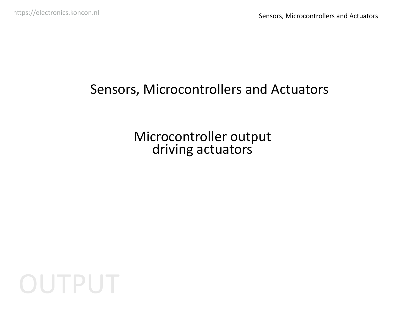## Sensors, Microcontrollers and Actuators

Microcontroller output driving actuators

OUTPUT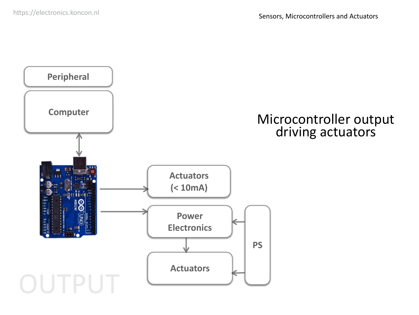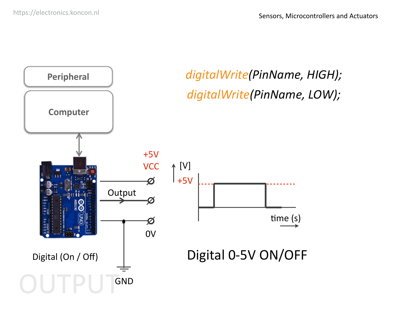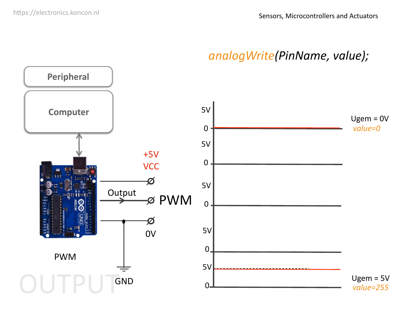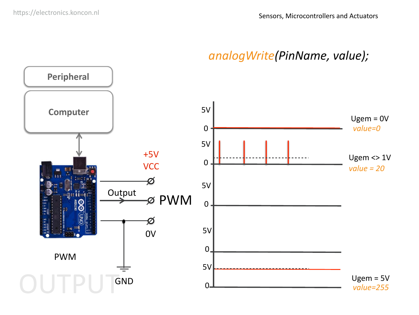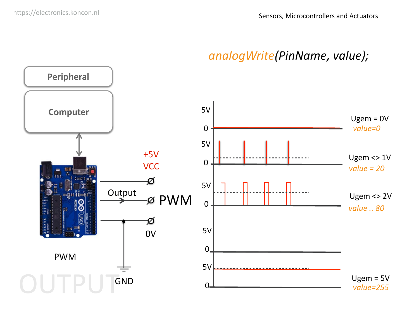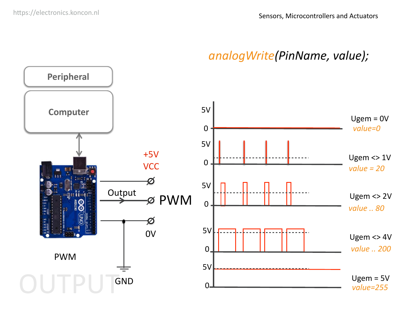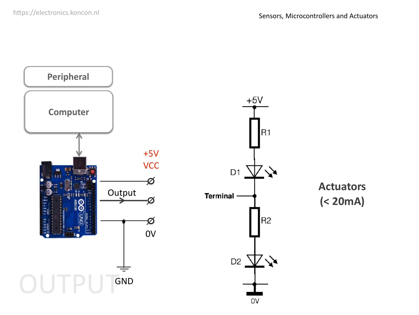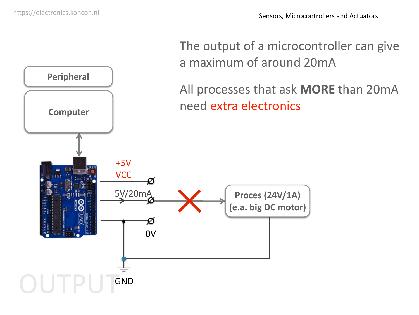

**Peripheral** All processes that ask **MORE** than 20mA **Computer**  $\qquad$  **Computer**  $\qquad$  **Computer**  $\qquad$ +5V **VCC** 5V/20mA **Proces (24V/1A) (e.a. big DC motor)** Ø 0V GND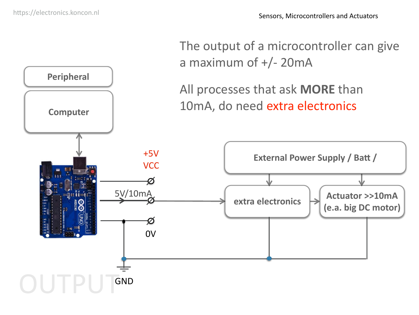**Peripheral**



All processes that ask **MORE** than **Computer**  $\vert$  10mA, do need extra electronics

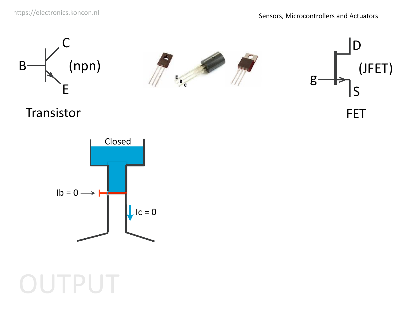

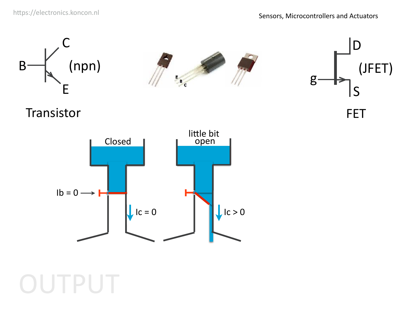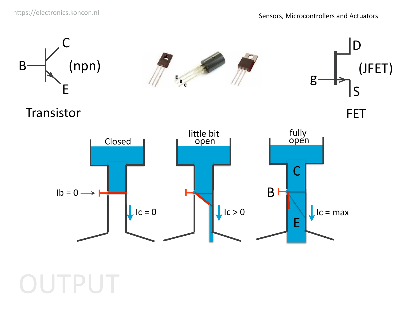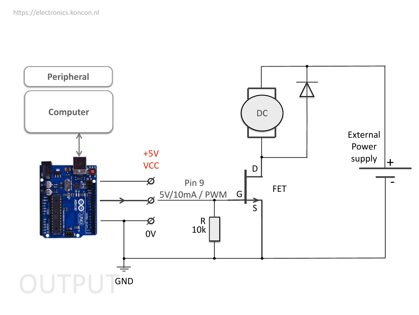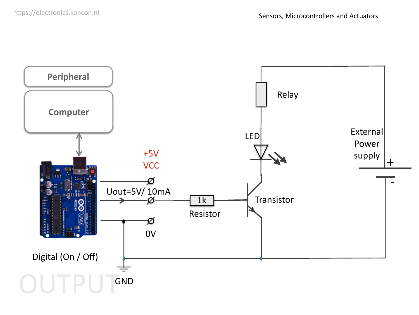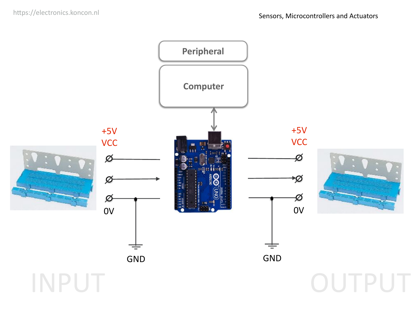